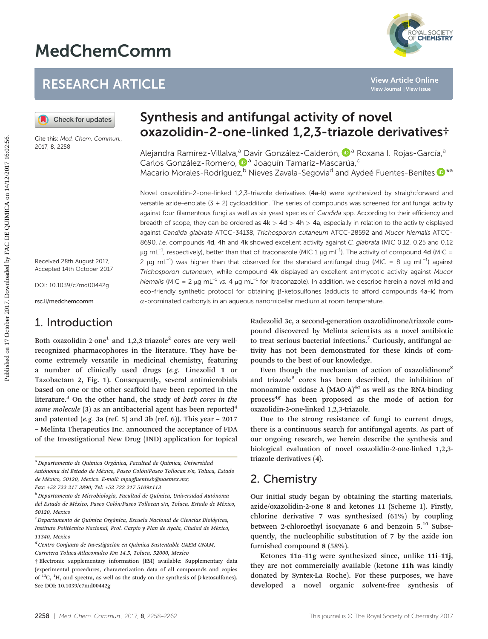# MedChemComm



# RESEARCH ARTICLE

Cite this: Med. Chem. Commun., 2017, 8, 2258

Received 28th August 2017, Accepted 14th October 2017

DOI: 10.1039/c7md00442g

rsc.li/medchemcomm

# 1. Introduction

Both oxazolidin-2-one<sup>1</sup> and  $1,2,3$ -triazole<sup>2</sup> cores are very wellrecognized pharmacophores in the literature. They have become extremely versatile in medicinal chemistry, featuring a number of clinically used drugs (e.g. Linezolid 1 or Tazobactam 2, Fig. 1). Consequently, several antimicrobials based on one or the other scaffold have been reported in the literature. $3$  On the other hand, the study of both cores in the same molecule  $(3)$  as an antibacterial agent has been reported<sup>4</sup> and patented (e.g. 3a (ref. 5) and 3b (ref. 6)). This year  $-2017$ – Melinta Therapeutics Inc. announced the acceptance of FDA of the Investigational New Drug (IND) application for topical

<sup>a</sup> Departamento de Química Orgánica, Facultad de Química, Universidad Autónoma del Estado de México, Paseo Colón/Paseo Tollocan s/n, Toluca, Estado de México, 50120, Mexico. E-mail: mpagfuentesb@uaemex.mx;

Fax: +52 722 217 3890; Tel: +52 722 217 5109x113

 $b$  Departamento de Microbiología, Facultad de Química, Universidad Autónoma del Estado de México, Paseo Colón/Paseo Tollocan s/n, Toluca, Estado de México, 50120, Mexico

<sup>c</sup> Departamento de Química Orgánica, Escuela Nacional de Ciencias Biológicas, Instituto Politécnico Nacional, Prol. Carpio y Plan de Ayala, Ciudad de México, 11340, Mexico

 $d$  Centro Conjunto de Investigación en Química Sustentable UAEM-UNAM, Carretera Toluca-Atlacomulco Km 14.5, Toluca, 52000, Mexico

# Synthesis and antifungal activity of novel oxazolidin-2-one-linked 1,2,3-triazole derivatives†

Alejandra Ramírez-Villalva,<sup>a</sup> [D](http://orcid.org/0000-0001-6308-1598)avir González-Calderón, <sup>Da</sup> Roxana I. Rojas-García,<sup>a</sup> Carlos González-Romero, D<sup>a</sup> Joaquín Tamaríz-Mascarúa,<sup>c</sup> Macario Morales-Rodríguez,<sup>b</sup> Nieves Zavala-Segovia<sup>d</sup> and Aydeé Fuentes-Benítes <sup>10</sup><sup>\*a</sup>

Novel oxazolidin-2-one-linked 1,2,3-triazole derivatives (4a–k) were synthesized by straightforward and versatile azide–enolate (3 + 2) cycloaddition. The series of compounds was screened for antifungal activity against four filamentous fungi as well as six yeast species of Candida spp. According to their efficiency and breadth of scope, they can be ordered as  $4k > 4d > 4h > 4a$ , especially in relation to the activity displayed against Candida glabrata ATCC-34138, Trichosporon cutaneum ATCC-28592 and Mucor hiemalis ATCC-8690, i.e. compounds 4d, 4h and 4k showed excellent activity against C. glabrata (MIC 0.12, 0.25 and 0.12 μg mL<sup>−1</sup>, respectively), better than that of itraconazole (MIC 1 μg ml<sup>−1</sup>). The activity of compound 4d (MIC = 2 μg mL<sup>-1</sup>) was higher than that observed for the standard antifungal drug (MIC = 8 μg mL<sup>-1</sup>) against Trichosporon cutaneum, while compound 4k displayed an excellent antimycotic activity against Mucor hiemalis (MIC = 2 μg mL<sup>-1</sup> vs. 4 μg mL<sup>-1</sup> for itraconazole). In addition, we describe herein a novel mild and eco-friendly synthetic protocol for obtaining β-ketosulfones (adducts to afford compounds 4a–k) from  $\alpha$ -brominated carbonyls in an aqueous nanomicellar medium at room temperature. **PUBLICATE:**<br> **PUBLICATE:**<br> **PUBLICATE STATE ON THE STATE ON THE STATE ON THE STATE OF THE STATE ONE ON THE STATE ON THE STATE ON THE STATE ON THE STATE OF THE STATE ON THE STATE OF THE STATE OF THE STATE OF THE STATE OF T** 

Radezolid 3c, a second-generation oxazolidinone/triazole compound discovered by Melinta scientists as a novel antibiotic to treat serious bacterial infections.<sup>7</sup> Curiously, antifungal activity has not been demonstrated for these kinds of compounds to the best of our knowledge.

Even though the mechanism of action of oxazolidinone<sup>8</sup> and triazole<sup>9</sup> cores has been described, the inhibition of monoamine oxidase A  $(MAO-A)^{4a}$  as well as the RNA-binding process $4g$  has been proposed as the mode of action for oxazolidin-2-one-linked 1,2,3-triazole.

Due to the strong resistance of fungi to current drugs, there is a continuous search for antifungal agents. As part of our ongoing research, we herein describe the synthesis and biological evaluation of novel oxazolidin-2-one-linked 1,2,3 triazole derivatives (4).

### 2. Chemistry

Our initial study began by obtaining the starting materials, azide/oxazolidin-2-one 8 and ketones 11 (Scheme 1). Firstly, chlorine derivative 7 was synthesized (61%) by coupling between 2-chloroethyl isocyanate 6 and benzoin 5.<sup>10</sup> Subsequently, the nucleophilic substitution of 7 by the azide ion furnished compound 8 (58%).

Ketones 11a–11g were synthesized since, unlike 11i–11j, they are not commercially available (ketone 11h was kindly donated by Syntex-La Roche). For these purposes, we have developed a novel organic solvent-free synthesis

<sup>†</sup> Electronic supplementary information (ESI) available: Supplementary data (experimental procedures, characterization data of all compounds and copies of  $^{13}$ C,  $^{1}$ H, and spectra, as well as the study on the synthesis of β-ketosulfones). See DOI: 10.1039/c7md00442g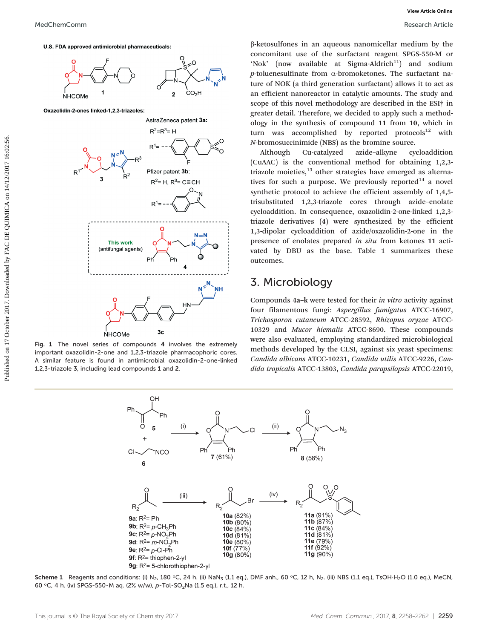

Fig. 1 The novel series of compounds 4 involves the extremely important oxazolidin-2-one and 1,2,3-triazole pharmacophoric cores. A similar feature is found in antimicrobial oxazolidin-2-one-linked 1,2,3-triazole 3, including lead compounds 1 and 2.

β-ketosulfones in an aqueous nanomicellar medium by the concomitant use of the surfactant reagent SPGS-550-M or 'Nok' (now available at Sigma-Aldrich<sup>11</sup>) and sodium p-toluenesulfinate from  $\alpha$ -bromoketones. The surfactant na-

ture of NOK (a third generation surfactant) allows it to act as an efficient nanoreactor in catalytic amounts. The study and scope of this novel methodology are described in the ESI† in greater detail. Therefore, we decided to apply such a methodology in the synthesis of compound 11 from 10, which in turn was accomplished by reported protocols $12$  with N-bromosuccinimide (NBS) as the bromine source.

Although Cu-catalyzed azide–alkyne cycloaddition (CuAAC) is the conventional method for obtaining 1,2,3 triazole moieties, $13$  other strategies have emerged as alternatives for such a purpose. We previously reported<sup>14</sup> a novel synthetic protocol to achieve the efficient assembly of 1,4,5 trisubstituted 1,2,3-triazole cores through azide–enolate cycloaddition. In consequence, oxazolidin-2-one-linked 1,2,3 triazole derivatives (4) were synthesized by the efficient 1,3-dipolar cycloaddition of azide/oxazolidin-2-one in the presence of enolates prepared in situ from ketones 11 activated by DBU as the base. Table 1 summarizes these outcomes.

# 3. Microbiology

Compounds 4a–k were tested for their in vitro activity against four filamentous fungi: Aspergillus fumigatus ATCC-16907, Trichosporon cutaneum ATCC-28592, Rhizopus oryzae ATCC-10329 and Mucor hiemalis ATCC-8690. These compounds were also evaluated, employing standardized microbiological methods developed by the CLSI, against six yeast specimens: Candida albicans ATCC-10231, Candida utilis ATCC-9226, Candida tropicalis ATCC-13803, Candida parapsilopsis ATCC-22019,



Scheme 1 Reagents and conditions: (i) N<sub>2</sub>, 180 °C, 24 h. (ii) NaN<sub>3</sub> (1.1 eq.), DMF anh., 60 °C, 12 h, N<sub>2</sub>. (iii) NBS (1.1 eq.), TsOH·H<sub>2</sub>O (1.0 eq.), MeCN, 60 °C, 4 h. (iv) SPGS-550-M aq. (2% w/w), p-Tol-SO<sub>2</sub>Na (1.5 eq.), r.t., 12 h.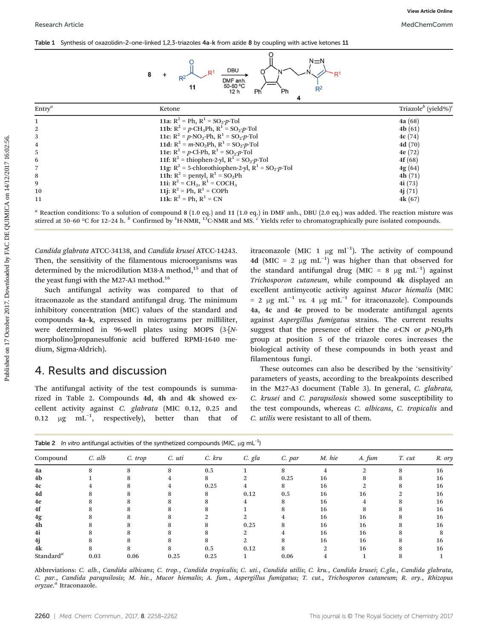|  |  | Table 1 Synthesis of oxazolidin-2-one-linked 1,2,3-triazoles 4a-k from azide 8 by coupling with active ketones 11 |  |  |  |  |  |  |  |  |
|--|--|-------------------------------------------------------------------------------------------------------------------|--|--|--|--|--|--|--|--|
|--|--|-------------------------------------------------------------------------------------------------------------------|--|--|--|--|--|--|--|--|



|                                                                                |                                                                                                                                                                                                                                                                                                                                                                                                                                                                                                                                                                 |                                                                                                                                                                                                                                                                                                                                                                                                                                                                                                                                                                                                                                                                                                                                                                                                       | View Article Online                         |
|--------------------------------------------------------------------------------|-----------------------------------------------------------------------------------------------------------------------------------------------------------------------------------------------------------------------------------------------------------------------------------------------------------------------------------------------------------------------------------------------------------------------------------------------------------------------------------------------------------------------------------------------------------------|-------------------------------------------------------------------------------------------------------------------------------------------------------------------------------------------------------------------------------------------------------------------------------------------------------------------------------------------------------------------------------------------------------------------------------------------------------------------------------------------------------------------------------------------------------------------------------------------------------------------------------------------------------------------------------------------------------------------------------------------------------------------------------------------------------|---------------------------------------------|
| <b>Research Article</b>                                                        |                                                                                                                                                                                                                                                                                                                                                                                                                                                                                                                                                                 |                                                                                                                                                                                                                                                                                                                                                                                                                                                                                                                                                                                                                                                                                                                                                                                                       | MedChemComm                                 |
|                                                                                | Table 1 Synthesis of oxazolidin-2-one-linked 1,2,3-triazoles 4a-k from azide 8 by coupling with active ketones 11                                                                                                                                                                                                                                                                                                                                                                                                                                               |                                                                                                                                                                                                                                                                                                                                                                                                                                                                                                                                                                                                                                                                                                                                                                                                       |                                             |
|                                                                                | DBU<br>8<br>DMF anh.<br>50-60 °C<br>11<br>12 h                                                                                                                                                                                                                                                                                                                                                                                                                                                                                                                  | N≡N<br>$R^2$<br>Ph<br>Ph<br>4                                                                                                                                                                                                                                                                                                                                                                                                                                                                                                                                                                                                                                                                                                                                                                         |                                             |
| $Entry^a$                                                                      | Ketone                                                                                                                                                                                                                                                                                                                                                                                                                                                                                                                                                          |                                                                                                                                                                                                                                                                                                                                                                                                                                                                                                                                                                                                                                                                                                                                                                                                       | Triazole <sup>b</sup> (yield%) <sup>c</sup> |
| $\mathbf{1}$                                                                   | 11a: $R^2 = Ph$ , $R^1 = SO_2-p$ -Tol                                                                                                                                                                                                                                                                                                                                                                                                                                                                                                                           |                                                                                                                                                                                                                                                                                                                                                                                                                                                                                                                                                                                                                                                                                                                                                                                                       | 4a(68)                                      |
| $\overline{2}$                                                                 | 11b: $R^2 = p\text{-CH}_3\text{Ph}$ , $R^1 = SO_2\text{-}p\text{-}Tol$                                                                                                                                                                                                                                                                                                                                                                                                                                                                                          |                                                                                                                                                                                                                                                                                                                                                                                                                                                                                                                                                                                                                                                                                                                                                                                                       | 4 $b(61)$                                   |
| 3                                                                              | 11c: $R^2 = p$ -NO <sub>2</sub> -Ph, $R^1 = SO_2-p$ -Tol                                                                                                                                                                                                                                                                                                                                                                                                                                                                                                        |                                                                                                                                                                                                                                                                                                                                                                                                                                                                                                                                                                                                                                                                                                                                                                                                       | 4c(74)                                      |
| $\overline{4}$                                                                 | 11d: $R^2 = m \cdot NO_2Ph$ , $R^1 = SO_2-p \cdot Tol$                                                                                                                                                                                                                                                                                                                                                                                                                                                                                                          |                                                                                                                                                                                                                                                                                                                                                                                                                                                                                                                                                                                                                                                                                                                                                                                                       | 4d(70)                                      |
| 5                                                                              | 11e: $R^2 = p$ -Cl-Ph, $R^1 = SO_2-p$ -Tol                                                                                                                                                                                                                                                                                                                                                                                                                                                                                                                      |                                                                                                                                                                                                                                                                                                                                                                                                                                                                                                                                                                                                                                                                                                                                                                                                       | 4e(72)                                      |
| 6                                                                              | 11f: $R^2$ = thiophen-2-yl, $R^1$ = SO <sub>2</sub> -p-Tol                                                                                                                                                                                                                                                                                                                                                                                                                                                                                                      |                                                                                                                                                                                                                                                                                                                                                                                                                                                                                                                                                                                                                                                                                                                                                                                                       | 4f(68)                                      |
| $\overline{7}$                                                                 | 11g: $R^2$ = 5-chlorothiophen-2-yl, $R^1$ = SO <sub>2</sub> -p-Tol                                                                                                                                                                                                                                                                                                                                                                                                                                                                                              |                                                                                                                                                                                                                                                                                                                                                                                                                                                                                                                                                                                                                                                                                                                                                                                                       | 4g(64)                                      |
| 8                                                                              | 11h: $R^2$ = pentyl, $R^1$ = SO <sub>2</sub> Ph                                                                                                                                                                                                                                                                                                                                                                                                                                                                                                                 |                                                                                                                                                                                                                                                                                                                                                                                                                                                                                                                                                                                                                                                                                                                                                                                                       | 4h(71)                                      |
| 9                                                                              | 11i: $R^2 = CH_3$ , $R^1 = COCH_3$                                                                                                                                                                                                                                                                                                                                                                                                                                                                                                                              |                                                                                                                                                                                                                                                                                                                                                                                                                                                                                                                                                                                                                                                                                                                                                                                                       | 4i(73)                                      |
| 10<br>11                                                                       | 11j: $R^2 = Ph$ , $R^1 = COPh$<br>11k: $R^2 = Ph$ , $R^1 = CN$                                                                                                                                                                                                                                                                                                                                                                                                                                                                                                  |                                                                                                                                                                                                                                                                                                                                                                                                                                                                                                                                                                                                                                                                                                                                                                                                       | 4j(71)<br>4k(67)                            |
|                                                                                | $a$ Reaction conditions: To a solution of compound 8 (1.0 eq.) and 11 (1.0 eq.) in DMF anh., DBU (2.0 eq.) was added. The reaction mixture was<br>stirred at 50–60 °C for 12–24 h. $^{b}$ Confirmed by <sup>1</sup> H-NMR, <sup>13</sup> C-NMR and MS. $^{c}$ Yields refer to chromatographically pure isolated compounds.                                                                                                                                                                                                                                      |                                                                                                                                                                                                                                                                                                                                                                                                                                                                                                                                                                                                                                                                                                                                                                                                       |                                             |
| the yeast fungi with the M27-A3 method. <sup>16</sup><br>dium, Sigma-Aldrich). | Candida glabrata ATCC-34138, and Candida krusei ATCC-14243.<br>Then, the sensitivity of the filamentous microorganisms was<br>determined by the microdilution M38-A method, <sup>15</sup> and that of<br>Such antifungal activity was compared to that of<br>itraconazole as the standard antifungal drug. The minimum<br>inhibitory concentration (MIC) values of the standard and<br>compounds 4a-k, expressed in micrograms per milliliter,<br>were determined in 96-well plates using MOPS (3-[N-<br>morpholino]propanesulfonic acid buffered RPMI-1640 me- | itraconazole (MIC 1 $\mu$ g ml <sup>-1</sup> ). The activity of compound<br>4d (MIC = 2 $\mu$ g mL <sup>-1</sup> ) was higher than that observed for<br>the standard antifungal drug (MIC = 8 $\mu$ g mL <sup>-1</sup> ) against<br>Trichosporon cutaneum, while compound 4k displayed an<br>excellent antimycotic activity against Mucor hiemalis (MIC<br>= 2 $\mu$ g mL <sup>-1</sup> vs. 4 $\mu$ g mL <sup>-1</sup> for itraconazole). Compounds<br>4a, 4c and 4e proved to be moderate antifungal agents<br>against Aspergillus fumigatus strains. The current results<br>suggest that the presence of either the $a$ -CN or $p$ -NO <sub>2</sub> Ph<br>group at position 5 of the triazole cores increases the<br>biological activity of these compounds in both yeast and<br>filamentous fungi. |                                             |
| 4. Results and discussion                                                      |                                                                                                                                                                                                                                                                                                                                                                                                                                                                                                                                                                 | These outcomes can also be described by the 'sensitivity'<br>parameters of yeasts, according to the breakpoints described                                                                                                                                                                                                                                                                                                                                                                                                                                                                                                                                                                                                                                                                             |                                             |

#### 4. Results and discussion

The antifungal activity of the test compounds is summarized in Table 2. Compounds 4d, 4h and 4k showed excellent activity against C. glabrata (MIC 0.12, 0.25 and 0.12  $\mu$ g mL<sup>-1</sup>, respectively), better than that of

These outcomes can also be described by the 'sensitivity' parameters of yeasts, according to the breakpoints described in the M27-A3 document (Table 3). In general, C. glabrata, C. krusei and C. parapsilosis showed some susceptibility to the test compounds, whereas C. albicans, C. tropicalis and C. utilis were resistant to all of them.

Table 2 In vitro antifungal activities of the synthetized compounds (MIC,  $\mu$ g mL $^{-1}$ )

|                       | $\tilde{\phantom{a}}$ |         |        |        | .      |        |        |        |        |        |
|-----------------------|-----------------------|---------|--------|--------|--------|--------|--------|--------|--------|--------|
| Compound              | C. alb                | C. trop | C. uti | C. kru | C. gla | C. par | M. hie | A. fum | T. cut | R. ory |
| 4a                    |                       |         | 8      | 0.5    |        | 8      |        |        | 8      | 16     |
| 4b                    |                       |         |        |        |        | 0.25   | 16     |        |        | 16     |
| 4c                    |                       |         |        | 0.25   | 4      | 8      | 16     |        |        | 16     |
| 4d                    |                       |         |        |        | 0.12   | 0.5    | 16     | 16     |        | 16     |
| 4e                    |                       |         |        |        |        |        | 16     |        |        | 16     |
| 4f                    |                       |         |        |        |        |        | 16     |        | 8      | 16     |
| 4g                    |                       |         |        |        |        |        | 16     | 16     |        | 16     |
| 4h                    |                       |         |        |        | 0.25   | 8      | 16     | 16     | 8      | 16     |
| 4i                    |                       |         |        |        |        |        | 16     | 16     |        |        |
| 4j                    |                       |         |        |        | 2      |        | 16     | 16     |        | 16     |
| 4k                    |                       |         | 8      | 0.5    | 0.12   |        | 2      | 16     |        | 16     |
| Standard <sup>a</sup> | 0.03                  | 0.06    | 0.25   | 0.25   |        | 0.06   |        |        |        |        |

Abbreviations: C. alb., Candida albicans; C. trop., Candida tropicalis; C. uti., Candida utilis; C. kru., Candida krusei; C.gla., Candida glabrata, C. par., Candida parapsilosis; M. hie., Mucor hiemalis; A. fum., Aspergillus fumigatus; T. cut., Trichosporon cutaneum; R. ory., Rhizopus oryzae.<sup>a</sup> Itraconazole.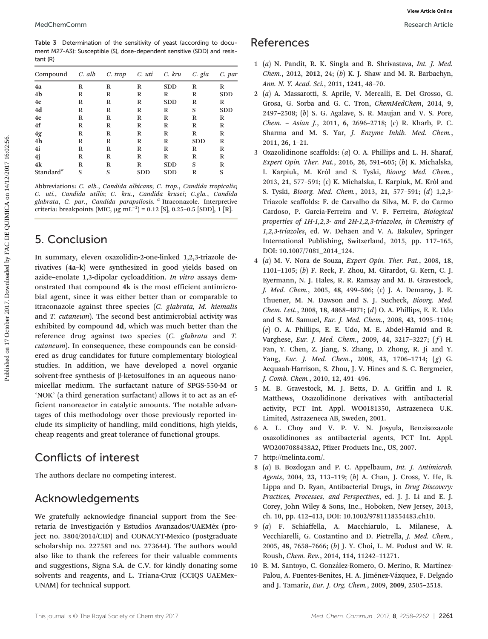Table 3 Determination of the sensitivity of yeast (according to document M27-A3): Susceptible (S), dose-dependent sensitive (SDD) and resistant (R)

| Compound              | C. alb | C. trop | C. uti     | C. kru     | C. gla     | C. par     |
|-----------------------|--------|---------|------------|------------|------------|------------|
| 4a                    | R      | R       | R          | <b>SDD</b> | R          | R          |
| 4 <sub>b</sub>        | R      | R       | R          | R          | R          | <b>SDD</b> |
| 4c                    | R      | R       | R          | <b>SDD</b> | R          | R          |
| 4d                    | R      | R       | R          | R          | S          | <b>SDD</b> |
| 4e                    | R      | R       | R          | R          | R          | R          |
| 4f                    | R      | R       | R          | R          | R          | R          |
| 4g                    | R      | R       | R          | R          | R          | R          |
| 4h                    | R      | R       | R          | R          | <b>SDD</b> | R          |
| 4i                    | R      | R       | R          | R          | R          | R          |
| 4j                    | R      | R       | R          | R          | R          | R          |
| 4k                    | R      | R       | R          | <b>SDD</b> | S          | R          |
| Standard <sup>a</sup> | S      | S       | <b>SDD</b> | <b>SDD</b> | R          | S          |
|                       |        |         |            |            |            |            |

Abbreviations: C. alb., Candida albicans; C. trop., Candida tropicalis; C. uti., Candida utilis; C. kru., Candida krusei; C.gla., Candida glabrata, C. par., Candida parapsilosis. <sup>a</sup> Itraconazole. Interpretive criteria: breakpoints (MIC, μg mL<sup>-1</sup>) = 0.12 [S], 0.25-0.5 [SDD], 1 [R].

### 5. Conclusion

In summary, eleven oxazolidin-2-one-linked 1,2,3-triazole derivatives (4a–k) were synthesized in good yields based on azide–enolate 1,3-dipolar cycloaddition. In vitro assays demonstrated that compound 4k is the most efficient antimicrobial agent, since it was either better than or comparable to itraconazole against three species (C. glabrata, M. hiemalis and T. cutaneum). The second best antimicrobial activity was exhibited by compound 4d, which was much better than the reference drug against two species (C. glabrata and T. cutaneum). In consequence, these compounds can be considered as drug candidates for future complementary biological studies. In addition, we have developed a novel organic solvent-free synthesis of β-ketosulfones in an aqueous nanomicellar medium. The surfactant nature of SPGS-550-M or 'NOK' (a third generation surfactant) allows it to act as an efficient nanoreactor in catalytic amounts. The notable advantages of this methodology over those previously reported include its simplicity of handling, mild conditions, high yields, cheap reagents and great tolerance of functional groups. Photometric on the second of the second of the second of the second on the second on the second by FAC DE Channel Controller and R. Schwarzel R. Schwarzel R. Schwarzel R. Schwarzel R. Schwarzel R. Schwarzel R. Schwarzel R

## Conflicts of interest

The authors declare no competing interest.

# Acknowledgements

We gratefully acknowledge financial support from the Secretaría de Investigación y Estudios Avanzados/UAEMéx (project no. 3804/2014/CID) and CONACYT-Mexico (postgraduate scholarship no. 227581 and no. 273644). The authors would also like to thank the referees for their valuable comments and suggestions, Signa S.A. de C.V. for kindly donating some solvents and reagents, and L. Triana-Cruz (CCIQS UAEMex– UNAM) for technical support.

#### References

- 1 (a) N. Pandit, R. K. Singla and B. Shrivastava, Int. J. Med. Chem., 2012, 2012, 24; (b) K. J. Shaw and M. R. Barbachyn, Ann. N. Y. Acad. Sci., 2011, 1241, 48–70.
- 2 (a) A. Massarotti, S. Aprile, V. Mercalli, E. Del Grosso, G. Grosa, G. Sorba and G. C. Tron, ChemMedChem, 2014, 9, 2497–2508; (b) S. G. Agalave, S. R. Maujan and V. S. Pore, Chem. – Asian J., 2011, 6, 2696–2718; (c) R. Kharb, P. C. Sharma and M. S. Yar, J. Enzyme Inhib. Med. Chem., 2011, 26, 1–21.
- 3 Oxazolidinone scaffolds: (a) O. A. Phillips and L. H. Sharaf, Expert Opin. Ther. Pat., 2016, 26, 591–605; (b) K. Michalska, I. Karpiuk, M. Król and S. Tyski, Bioorg. Med. Chem., 2013, 21, 577–591; (c) K. Michalska, I. Karpiuk, M. Król and S. Tyski, Bioorg. Med. Chem., 2013, 21, 577–591; (d) 1,2,3- Triazole scaffolds: F. de Carvalho da Silva, M. F. do Carmo Cardoso, P. Garcia-Ferreira and V. F. Ferreira, Biological properties of 1H-1,2,3- and 2H-1,2,3-triazoles, in Chemistry of 1,2,3-triazoles, ed. W. Dehaen and V. A. Bakulev, Springer International Publishing, Switzerland, 2015, pp. 117–165, DOI: 10.1007/7081\_2014\_124.
- 4 (a) M. V. Nora de Souza, Expert Opin. Ther. Pat., 2008, 18, 1101–1105; (b) F. Reck, F. Zhou, M. Girardot, G. Kern, C. J. Eyermann, N. J. Hales, R. R. Ramsay and M. B. Gravestock, J. Med. Chem., 2005, 48, 499–506; (c) J. A. Demaray, J. E. Thuener, M. N. Dawson and S. J. Sucheck, Bioorg. Med. Chem. Lett., 2008, 18, 4868–4871; (d) O. A. Phillips, E. E. Udo and S. M. Samuel, Eur. J. Med. Chem., 2008, 43, 1095–1104; (e) O. A. Phillips, E. E. Udo, M. E. Abdel-Hamid and R. Varghese, Eur. J. Med. Chem., 2009, 44, 3217-3227; (f) H. Fan, Y. Chen, Z. Jiang, S. Zhang, D. Zhong, R. Ji and Y. Yang, Eur. J. Med. Chem., 2008, 43, 1706–1714; (g) G. Acquaah-Harrison, S. Zhou, J. V. Hines and S. C. Bergmeier, J. Comb. Chem., 2010, 12, 491–496.
- 5 M. B. Gravestock, M. J. Betts, D. A. Griffin and I. R. Matthews, Oxazolidinone derivatives with antibacterial activity, PCT Int. Appl. WO0181350, Astrazeneca U.K. Limited, Astrazeneca AB, Sweden, 2001.
- 6 A. L. Choy and V. P. V. N. Josyula, Benzisoxazole oxazolidinones as antibacterial agents, PCT Int. Appl. WO2007088438A2, Pfizer Products Inc., US, 2007.
- 7<http://melinta.com/>.
- 8 (a) B. Bozdogan and P. C. Appelbaum, Int. J. Antimicrob. Agents, 2004, 23, 113–119; (b) A. Chan, J. Cross, Y. He, B. Lippa and D. Ryan, Antibacterial Drugs, in Drug Discovery: Practices, Processes, and Perspectives, ed. J. J. Li and E. J. Corey, John Wiley & Sons, Inc., Hoboken, New Jersey, 2013, ch. 10, pp. 412–413, DOI: 10.1002/9781118354483.ch10.
- 9 (a) F. Schiaffella, A. Macchiarulo, L. Milanese, A. Vecchiarelli, G. Costantino and D. Pietrella, J. Med. Chem., 2005, 48, 7658–7666; (b) J. Y. Choi, L. M. Podust and W. R. Roush, Chem. Rev., 2014, 114, 11242–11271.
- 10 B. M. Santoyo, C. González-Romero, O. Merino, R. Martínez-Palou, A. Fuentes-Benites, H. A. Jiménez-Vázquez, F. Delgado and J. Tamariz, Eur. J. Org. Chem., 2009, 2009, 2505–2518.